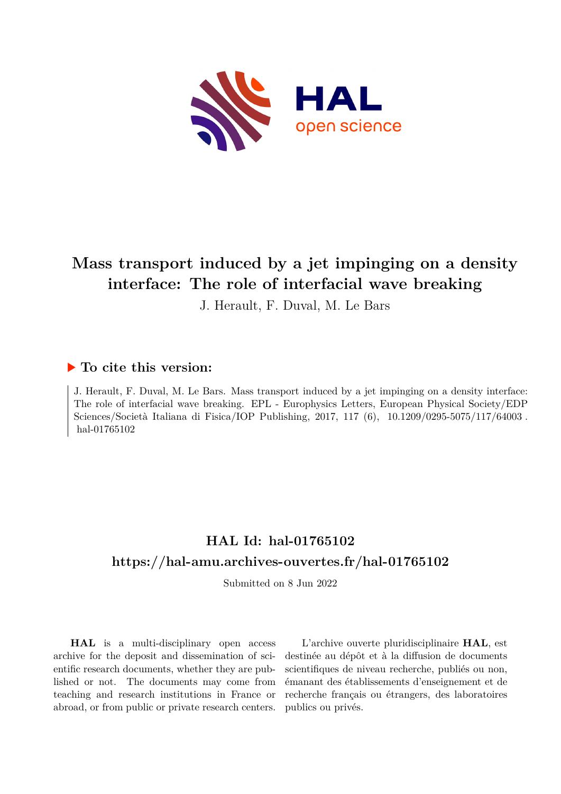

# **Mass transport induced by a jet impinging on a density interface: The role of interfacial wave breaking**

J. Herault, F. Duval, M. Le Bars

### **To cite this version:**

J. Herault, F. Duval, M. Le Bars. Mass transport induced by a jet impinging on a density interface: The role of interfacial wave breaking. EPL - Europhysics Letters, European Physical Society/EDP Sciences/Società Italiana di Fisica/IOP Publishing, 2017, 117 (6), 10.1209/0295-5075/117/64003. hal-01765102

## **HAL Id: hal-01765102 <https://hal-amu.archives-ouvertes.fr/hal-01765102>**

Submitted on 8 Jun 2022

**HAL** is a multi-disciplinary open access archive for the deposit and dissemination of scientific research documents, whether they are published or not. The documents may come from teaching and research institutions in France or abroad, or from public or private research centers.

L'archive ouverte pluridisciplinaire **HAL**, est destinée au dépôt et à la diffusion de documents scientifiques de niveau recherche, publiés ou non, émanant des établissements d'enseignement et de recherche français ou étrangers, des laboratoires publics ou privés.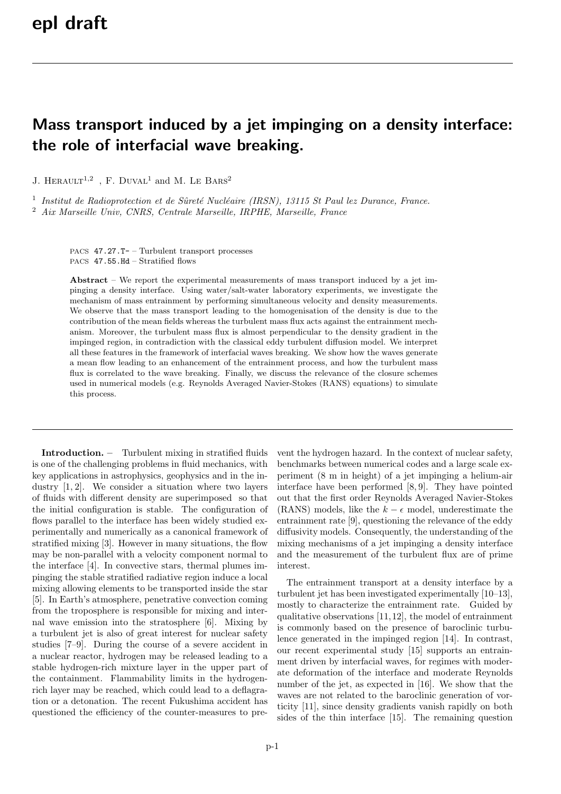# Mass transport induced by a jet impinging on a density interface: the role of interfacial wave breaking.

J. HERAULT<sup>1,2</sup>, F. DUVAL<sup>1</sup> and M. LE BARS<sup>2</sup>

<sup>1</sup> Institut de Radioprotection et de Sûreté Nucléaire (IRSN), 13115 St Paul lez Durance, France.

<sup>2</sup> Aix Marseille Univ, CNRS, Centrale Marseille, IRPHE, Marseille, France

PACS 47.27.T- – Turbulent transport processes PACS 47.55.Hd – Stratified flows

Abstract – We report the experimental measurements of mass transport induced by a jet impinging a density interface. Using water/salt-water laboratory experiments, we investigate the mechanism of mass entrainment by performing simultaneous velocity and density measurements. We observe that the mass transport leading to the homogenisation of the density is due to the contribution of the mean fields whereas the turbulent mass flux acts against the entrainment mechanism. Moreover, the turbulent mass flux is almost perpendicular to the density gradient in the impinged region, in contradiction with the classical eddy turbulent diffusion model. We interpret all these features in the framework of interfacial waves breaking. We show how the waves generate a mean flow leading to an enhancement of the entrainment process, and how the turbulent mass flux is correlated to the wave breaking. Finally, we discuss the relevance of the closure schemes used in numerical models (e.g. Reynolds Averaged Navier-Stokes (RANS) equations) to simulate this process.

Introduction. – Turbulent mixing in stratified fluids is one of the challenging problems in fluid mechanics, with key applications in astrophysics, geophysics and in the industry [1, 2]. We consider a situation where two layers of fluids with different density are superimposed so that the initial configuration is stable. The configuration of flows parallel to the interface has been widely studied experimentally and numerically as a canonical framework of stratified mixing [3]. However in many situations, the flow may be non-parallel with a velocity component normal to the interface [4]. In convective stars, thermal plumes impinging the stable stratified radiative region induce a local mixing allowing elements to be transported inside the star [5]. In Earth's atmosphere, penetrative convection coming from the troposphere is responsible for mixing and internal wave emission into the stratosphere [6]. Mixing by a turbulent jet is also of great interest for nuclear safety studies [7–9]. During the course of a severe accident in a nuclear reactor, hydrogen may be released leading to a stable hydrogen-rich mixture layer in the upper part of the containment. Flammability limits in the hydrogenrich layer may be reached, which could lead to a deflagration or a detonation. The recent Fukushima accident has questioned the efficiency of the counter-measures to prevent the hydrogen hazard. In the context of nuclear safety, benchmarks between numerical codes and a large scale experiment (8 m in height) of a jet impinging a helium-air interface have been performed [8, 9]. They have pointed out that the first order Reynolds Averaged Navier-Stokes (RANS) models, like the  $k - \epsilon$  model, underestimate the entrainment rate [9], questioning the relevance of the eddy diffusivity models. Consequently, the understanding of the mixing mechanisms of a jet impinging a density interface and the measurement of the turbulent flux are of prime interest.

The entrainment transport at a density interface by a turbulent jet has been investigated experimentally [10–13], mostly to characterize the entrainment rate. Guided by qualitative observations [11,12], the model of entrainment is commonly based on the presence of baroclinic turbulence generated in the impinged region [14]. In contrast, our recent experimental study [15] supports an entrainment driven by interfacial waves, for regimes with moderate deformation of the interface and moderate Reynolds number of the jet, as expected in [16]. We show that the waves are not related to the baroclinic generation of vorticity [11], since density gradients vanish rapidly on both sides of the thin interface [15]. The remaining question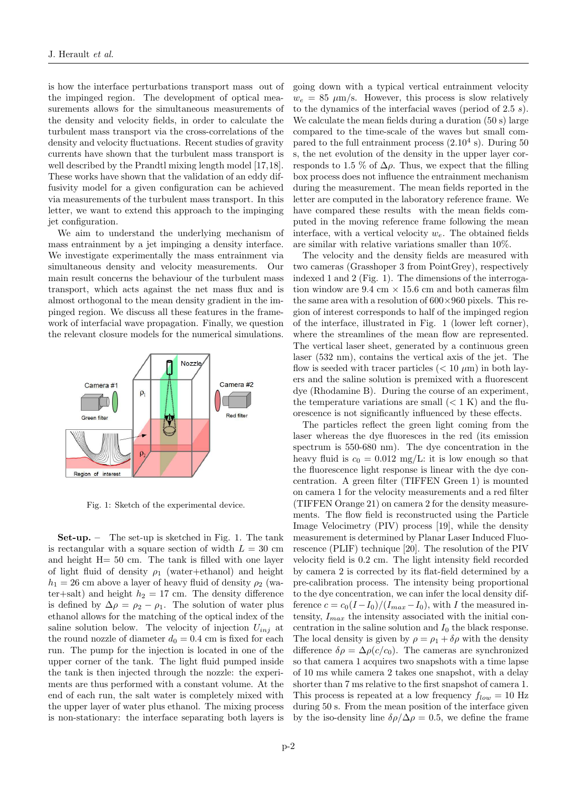is how the interface perturbations transport mass out of the impinged region. The development of optical measurements allows for the simultaneous measurements of the density and velocity fields, in order to calculate the turbulent mass transport via the cross-correlations of the density and velocity fluctuations. Recent studies of gravity currents have shown that the turbulent mass transport is well described by the Prandtl mixing length model [17,18]. These works have shown that the validation of an eddy diffusivity model for a given configuration can be achieved via measurements of the turbulent mass transport. In this letter, we want to extend this approach to the impinging jet configuration.

We aim to understand the underlying mechanism of mass entrainment by a jet impinging a density interface. We investigate experimentally the mass entrainment via simultaneous density and velocity measurements. Our main result concerns the behaviour of the turbulent mass transport, which acts against the net mass flux and is almost orthogonal to the mean density gradient in the impinged region. We discuss all these features in the framework of interfacial wave propagation. Finally, we question the relevant closure models for the numerical simulations.



Fig. 1: Sketch of the experimental device.

 $Set$ -up. – The set-up is sketched in Fig. 1. The tank is rectangular with a square section of width  $L = 30$  cm and height H= 50 cm. The tank is filled with one layer of light fluid of density  $\rho_1$  (water+ethanol) and height  $h_1 = 26$  cm above a layer of heavy fluid of density  $\rho_2$  (water+salt) and height  $h_2 = 17$  cm. The density difference is defined by  $\Delta \rho = \rho_2 - \rho_1$ . The solution of water plus ethanol allows for the matching of the optical index of the saline solution below. The velocity of injection  $U_{inj}$  at the round nozzle of diameter  $d_0 = 0.4$  cm is fixed for each run. The pump for the injection is located in one of the upper corner of the tank. The light fluid pumped inside the tank is then injected through the nozzle: the experiments are thus performed with a constant volume. At the end of each run, the salt water is completely mixed with the upper layer of water plus ethanol. The mixing process is non-stationary: the interface separating both layers is

going down with a typical vertical entrainment velocity  $w_e = 85 \mu \text{m/s}$ . However, this process is slow relatively to the dynamics of the interfacial waves (period of 2.5 s). We calculate the mean fields during a duration (50 s) large compared to the time-scale of the waves but small compared to the full entrainment process  $(2.10<sup>4</sup> s)$ . During 50 s, the net evolution of the density in the upper layer corresponds to 1.5 % of  $\Delta \rho$ . Thus, we expect that the filling box process does not influence the entrainment mechanism during the measurement. The mean fields reported in the letter are computed in the laboratory reference frame. We have compared these results with the mean fields computed in the moving reference frame following the mean interface, with a vertical velocity  $w_e$ . The obtained fields are similar with relative variations smaller than 10%.

The velocity and the density fields are measured with two cameras (Grasshoper 3 from PointGrey), respectively indexed 1 and 2 (Fig. 1). The dimensions of the interrogation window are 9.4 cm  $\times$  15.6 cm and both cameras film the same area with a resolution of  $600\times960$  pixels. This region of interest corresponds to half of the impinged region of the interface, illustrated in Fig. 1 (lower left corner), where the streamlines of the mean flow are represented. The vertical laser sheet, generated by a continuous green laser (532 nm), contains the vertical axis of the jet. The flow is seeded with tracer particles  $(< 10 \mu m)$  in both layers and the saline solution is premixed with a fluorescent dye (Rhodamine B). During the course of an experiment, the temperature variations are small  $(< 1 K)$  and the fluorescence is not significantly influenced by these effects.

The particles reflect the green light coming from the laser whereas the dye fluoresces in the red (its emission spectrum is 550-680 nm). The dye concentration in the heavy fluid is  $c_0 = 0.012$  mg/L: it is low enough so that the fluorescence light response is linear with the dye concentration. A green filter (TIFFEN Green 1) is mounted on camera 1 for the velocity measurements and a red filter (TIFFEN Orange 21) on camera 2 for the density measurements. The flow field is reconstructed using the Particle Image Velocimetry (PIV) process [19], while the density measurement is determined by Planar Laser Induced Fluorescence (PLIF) technique [20]. The resolution of the PIV velocity field is 0.2 cm. The light intensity field recorded by camera 2 is corrected by its flat-field determined by a pre-calibration process. The intensity being proportional to the dye concentration, we can infer the local density difference  $c = c_0(I - I_0)/(I_{max} - I_0)$ , with I the measured intensity,  $I_{max}$  the intensity associated with the initial concentration in the saline solution and  $I_0$  the black response. The local density is given by  $\rho = \rho_1 + \delta \rho$  with the density difference  $\delta \rho = \Delta \rho (c/c_0)$ . The cameras are synchronized so that camera 1 acquires two snapshots with a time lapse of 10 ms while camera 2 takes one snapshot, with a delay shorter than 7 ms relative to the first snapshot of camera 1. This process is repeated at a low frequency  $f_{low} = 10$  Hz during 50 s. From the mean position of the interface given by the iso-density line  $\delta \rho / \Delta \rho = 0.5$ , we define the frame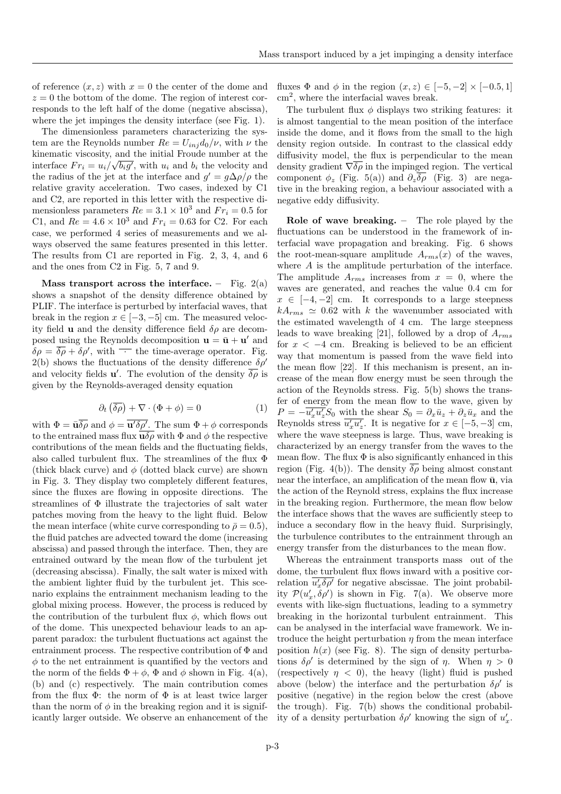of reference  $(x, z)$  with  $x = 0$  the center of the dome and  $z = 0$  the bottom of the dome. The region of interest corresponds to the left half of the dome (negative abscissa), where the jet impinges the density interface (see Fig. 1).

The dimensionless parameters characterizing the system are the Reynolds number  $Re = U_{inj}d_0/\nu$ , with  $\nu$  the kinematic viscosity, and the initial Froude number at the √ interface  $Fr_i = u_i / \sqrt{b_i g'}$ , with  $u_i$  and  $b_i$  the velocity and the radius of the jet at the interface and  $g' = g\Delta\rho/\rho$  the relative gravity acceleration. Two cases, indexed by C1 and C2, are reported in this letter with the respective dimensionless parameters  $Re = 3.1 \times 10^3$  and  $Fr_i = 0.5$  for C1, and  $Re = 4.6 \times 10^3$  and  $Fr_i = 0.63$  for C2. For each case, we performed 4 series of measurements and we always observed the same features presented in this letter. The results from C1 are reported in Fig. 2, 3, 4, and 6 and the ones from C2 in Fig. 5, 7 and 9.

Mass transport across the interface. – Fig.  $2(a)$ shows a snapshot of the density difference obtained by PLIF. The interface is perturbed by interfacial waves, that break in the region  $x \in [-3, -5]$  cm. The measured velocity field **u** and the density difference field  $\delta \rho$  are decomposed using the Reynolds decomposition  $\mathbf{u} = \bar{\mathbf{u}} + \mathbf{u}'$  and  $\delta \rho = \overline{\delta \rho} + \delta \rho'$ , with  $\overline{\phantom{a}}$  the time-average operator. Fig. 2(b) shows the fluctuations of the density difference  $\delta \rho'$ and velocity fields **u**'. The evolution of the density  $\overline{\delta \rho}$  is given by the Reynolds-averaged density equation

$$
\partial_t \left( \overline{\delta \rho} \right) + \nabla \cdot (\Phi + \phi) = 0 \tag{1}
$$

with  $\Phi = \bar{\mathbf{u}} \overline{\delta \rho}$  and  $\phi = \overline{\mathbf{u'} \delta \rho'}$ . The sum  $\Phi + \phi$  corresponds to the entrained mass flux  $\mathbf{u}\delta\rho$  with  $\Phi$  and  $\phi$  the respective contributions of the mean fields and the fluctuating fields, also called turbulent flux. The streamlines of the flux Φ (thick black curve) and  $\phi$  (dotted black curve) are shown in Fig. 3. They display two completely different features, since the fluxes are flowing in opposite directions. The streamlines of Φ illustrate the trajectories of salt water patches moving from the heavy to the light fluid. Below the mean interface (white curve corresponding to  $\bar{\rho} = 0.5$ ), the fluid patches are advected toward the dome (increasing abscissa) and passed through the interface. Then, they are entrained outward by the mean flow of the turbulent jet (decreasing abscissa). Finally, the salt water is mixed with the ambient lighter fluid by the turbulent jet. This scenario explains the entrainment mechanism leading to the global mixing process. However, the process is reduced by the contribution of the turbulent flux  $\phi$ , which flows out of the dome. This unexpected behaviour leads to an apparent paradox: the turbulent fluctuations act against the entrainment process. The respective contribution of  $\Phi$  and  $\phi$  to the net entrainment is quantified by the vectors and the norm of the fields  $\Phi + \phi$ ,  $\Phi$  and  $\phi$  shown in Fig. 4(a), (b) and (c) respectively. The main contribution comes from the flux  $\Phi$ : the norm of  $\Phi$  is at least twice larger than the norm of  $\phi$  in the breaking region and it is significantly larger outside. We observe an enhancement of the fluxes  $\Phi$  and  $\phi$  in the region  $(x, z) \in [-5, -2] \times [-0.5, 1]$ cm<sup>2</sup> , where the interfacial waves break.

The turbulent flux  $\phi$  displays two striking features: it is almost tangential to the mean position of the interface inside the dome, and it flows from the small to the high density region outside. In contrast to the classical eddy diffusivity model, the flux is perpendicular to the mean density gradient  $\nabla \overline{\delta \rho}$  in the impinged region. The vertical component  $\phi_z$  (Fig. 5(a)) and  $\partial_z \overline{\delta \rho}$  (Fig. 3) are negative in the breaking region, a behaviour associated with a negative eddy diffusivity.

Role of wave breaking. – The role played by the fluctuations can be understood in the framework of interfacial wave propagation and breaking. Fig. 6 shows the root-mean-square amplitude  $A_{rms}(x)$  of the waves, where A is the amplitude perturbation of the interface. The amplitude  $A_{rms}$  increases from  $x = 0$ , where the waves are generated, and reaches the value 0.4 cm for  $x \in [-4, -2]$  cm. It corresponds to a large steepness  $kA<sub>rms</sub> \approx 0.62$  with k the wavenumber associated with the estimated wavelength of 4 cm. The large steepness leads to wave breaking [21], followed by a drop of  $A_{rms}$ for  $x < -4$  cm. Breaking is believed to be an efficient way that momentum is passed from the wave field into the mean flow [22]. If this mechanism is present, an increase of the mean flow energy must be seen through the action of the Reynolds stress. Fig. 5(b) shows the transfer of energy from the mean flow to the wave, given by  $P = -\overline{u'_x u'_z} S_0$  with the shear  $S_0 = \partial_x \bar{u}_z + \partial_z \bar{u}_x$  and the Reynolds stress  $\overline{u'_x u'_z}$ . It is negative for  $x \in [-5, -3]$  cm, where the wave steepness is large. Thus, wave breaking is characterized by an energy transfer from the waves to the mean flow. The flux  $\Phi$  is also significantly enhanced in this region (Fig. 4(b)). The density  $\overline{\delta \rho}$  being almost constant near the interface, an amplification of the mean flow  $\bar{u}$ , via the action of the Reynold stress, explains the flux increase in the breaking region. Furthermore, the mean flow below the interface shows that the waves are sufficiently steep to induce a secondary flow in the heavy fluid. Surprisingly, the turbulence contributes to the entrainment through an energy transfer from the disturbances to the mean flow.

Whereas the entrainment transports mass out of the dome, the turbulent flux flows inward with a positive correlation  $\overline{u'_x \delta \rho'}$  for negative abscissae. The joint probability  $\mathcal{P}(u'_x, \delta \rho')$  is shown in Fig. 7(a). We observe more events with like-sign fluctuations, leading to a symmetry breaking in the horizontal turbulent entrainment. This can be analysed in the interfacial wave framework. We introduce the height perturbation  $\eta$  from the mean interface position  $h(x)$  (see Fig. 8). The sign of density perturbations  $\delta \rho'$  is determined by the sign of  $\eta$ . When  $\eta > 0$ (respectively  $\eta$  < 0), the heavy (light) fluid is pushed above (below) the interface and the perturbation  $\delta \rho'$  is positive (negative) in the region below the crest (above the trough). Fig. 7(b) shows the conditional probability of a density perturbation  $\delta \rho'$  knowing the sign of  $u'_x$ .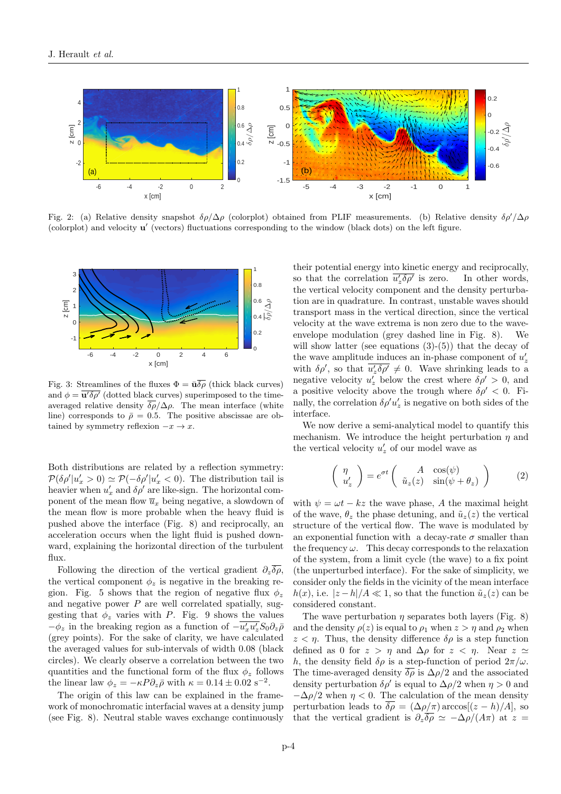

Fig. 2: (a) Relative density snapshot  $\delta \rho / \Delta \rho$  (colorplot) obtained from PLIF measurements. (b) Relative density  $\delta \rho' / \Delta \rho$ (colorplot) and velocity **u'** (vectors) fluctuations corresponding to the window (black dots) on the left figure.



Fig. 3: Streamlines of the fluxes  $\Phi = \bar{\mathbf{u}} \overline{\delta \rho}$  (thick black curves) and  $\phi = \overline{\mathbf{u}' \delta \rho'}$  (dotted black curves) superimposed to the timeaveraged relative density  $\overline{\delta \rho}/\Delta \rho$ . The mean interface (white line) corresponds to  $\bar{\rho} = 0.5$ . The positive abscissae are obtained by symmetry reflexion  $-x \to x$ .

Both distributions are related by a reflection symmetry:  $\mathcal{P}(\delta \rho' | u_x' > 0) \simeq \mathcal{P}(-\delta \rho' | u_x' < 0)$ . The distribution tail is heavier when  $u'_x$  and  $\delta \rho'$  are like-sign. The horizontal component of the mean flow  $\overline{u}_x$  being negative, a slowdown of the mean flow is more probable when the heavy fluid is pushed above the interface (Fig. 8) and reciprocally, an acceleration occurs when the light fluid is pushed downward, explaining the horizontal direction of the turbulent flux.

Following the direction of the vertical gradient  $\partial_z \overline{\delta \rho}$ , the vertical component  $\phi_z$  is negative in the breaking region. Fig. 5 shows that the region of negative flux  $\phi_z$ and negative power  $P$  are well correlated spatially, suggesting that  $\phi_z$  varies with P. Fig. 9 shows the values  $-\phi_z$  in the breaking region as a function of  $-\overline{u'_x u'_z} S_0 \partial_z \overline{\rho}$ (grey points). For the sake of clarity, we have calculated the averaged values for sub-intervals of width 0.08 (black circles). We clearly observe a correlation between the two quantities and the functional form of the flux  $\phi_z$  follows the linear law  $\phi_z = -\kappa P \partial_z \bar{\rho}$  with  $\kappa = 0.14 \pm 0.02 \text{ s}^{-2}$ .

The origin of this law can be explained in the framework of monochromatic interfacial waves at a density jump (see Fig. 8). Neutral stable waves exchange continuously their potential energy into kinetic energy and reciprocally, so that the correlation  $\overline{u'_z \delta \rho'}$ In other words, the vertical velocity component and the density perturbation are in quadrature. In contrast, unstable waves should transport mass in the vertical direction, since the vertical velocity at the wave extrema is non zero due to the waveenvelope modulation (grey dashed line in Fig. 8). We will show latter (see equations  $(3)-(5)$ ) that the decay of the wave amplitude induces an in-phase component of  $u'_{z}$ with  $\delta \rho'$ , so that  $\overline{u'_z \delta \rho'} \neq 0$ . Wave shrinking leads to a negative velocity  $u'_z$  below the crest where  $\delta \rho' > 0$ , and a positive velocity above the trough where  $\delta \rho' < 0$ . Finally, the correlation  $\delta \rho' u_z'$  is negative on both sides of the interface.

We now derive a semi-analytical model to quantify this mechanism. We introduce the height perturbation  $\eta$  and the vertical velocity  $u'_z$  of our model wave as

$$
\begin{pmatrix} \eta \\ u'_z \end{pmatrix} = e^{\sigma t} \begin{pmatrix} A & \cos(\psi) \\ \tilde{u}_z(z) & \sin(\psi + \theta_z) \end{pmatrix}
$$
 (2)

with  $\psi = \omega t - kz$  the wave phase, A the maximal height of the wave,  $\theta_z$  the phase detuning, and  $\tilde{u}_z(z)$  the vertical structure of the vertical flow. The wave is modulated by an exponential function with a decay-rate  $\sigma$  smaller than the frequency  $\omega$ . This decay corresponds to the relaxation of the system, from a limit cycle (the wave) to a fix point (the unperturbed interface). For the sake of simplicity, we consider only the fields in the vicinity of the mean interface  $h(x)$ , i.e.  $|z-h|/A \ll 1$ , so that the function  $\tilde{u}_z(z)$  can be considered constant.

The wave perturbation  $\eta$  separates both layers (Fig. 8) and the density  $\rho(z)$  is equal to  $\rho_1$  when  $z > \eta$  and  $\rho_2$  when  $z < \eta$ . Thus, the density difference  $\delta \rho$  is a step function defined as 0 for  $z > \eta$  and  $\Delta \rho$  for  $z < \eta$ . Near  $z \simeq$ h, the density field  $\delta \rho$  is a step-function of period  $2\pi/\omega$ . The time-averaged density  $\overline{\delta \rho}$  is  $\Delta \rho/2$  and the associated density perturbation  $\delta \rho'$  is equal to  $\Delta \rho/2$  when  $\eta > 0$  and  $-\Delta \rho/2$  when  $\eta < 0$ . The calculation of the mean density perturbation leads to  $\overline{\delta \rho} = (\Delta \rho / \pi) \arccos[(z - h)/A]$ , so that the vertical gradient is  $\partial_z \overline{\delta \rho} \simeq -\Delta \rho/(A\pi)$  at z =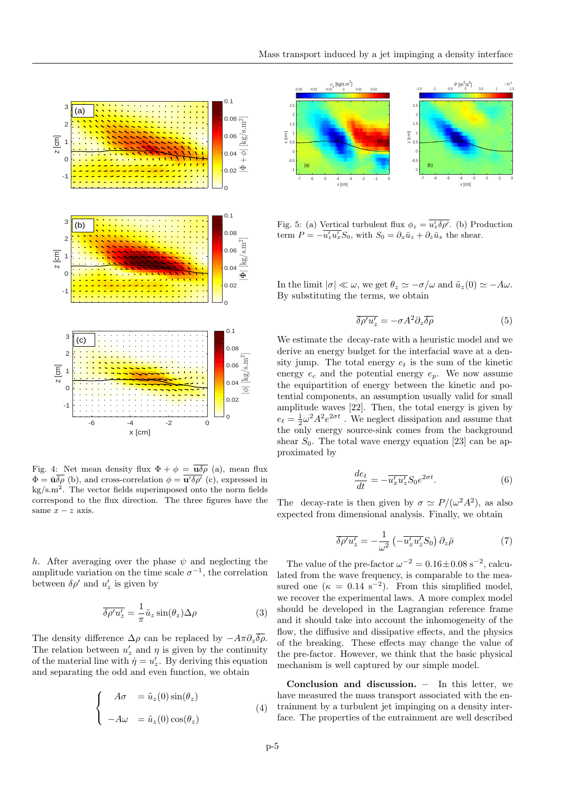

Fig. 4: Net mean density flux  $\Phi + \phi = \overline{\mathbf{u}\delta\rho}$  (a), mean flux  $\Phi = \bar{\mathbf{u}} \overline{\delta \rho}$  (b), and cross-correlation  $\phi = \overline{\mathbf{u}' \delta \rho'}$  (c), expressed in  $\text{kg/s.m}^2$ . The vector fields superimposed onto the norm fields correspond to the flux direction. The three figures have the same  $x - z$  axis.

h. After averaging over the phase  $\psi$  and neglecting the amplitude variation on the time scale  $\sigma^{-1}$ , the correlation between  $\delta \rho'$  and  $u'_z$  is given by

$$
\overline{\delta \rho' u'_z} = -\frac{1}{\pi} \tilde{u}_z \sin(\theta_z) \Delta \rho \tag{3}
$$

The density difference  $\Delta \rho$  can be replaced by  $-A\pi \partial_z \overline{\delta \rho}$ . The relation between  $u'_z$  and  $\eta$  is given by the continuity of the material line with  $\dot{\eta} = u'_z$ . By deriving this equation and separating the odd and even function, we obtain

$$
\begin{cases}\nA\sigma &= \tilde{u}_z(0)\sin(\theta_z) \\
-A\omega &= \tilde{u}_z(0)\cos(\theta_z)\n\end{cases}
$$
\n(4)



Fig. 5: (a) Vertical turbulent flux  $\phi_z = \overline{u'_z \delta \rho'}$ . (b) Production term  $P = -\overline{u'_z u'_x} S_0$ , with  $S_0 = \partial_x \bar{u}_z + \partial_z \bar{u}_x$  the shear.

In the limit  $|\sigma| \ll \omega$ , we get  $\theta_z \simeq -\sigma/\omega$  and  $\tilde{u}_z(0) \simeq -A\omega$ . By substituting the terms, we obtain

$$
\overline{\delta \rho' u'_z} = -\sigma A^2 \partial_z \overline{\delta \rho} \tag{5}
$$

We estimate the decay-rate with a heuristic model and we derive an energy budget for the interfacial wave at a density jump. The total energy  $e_t$  is the sum of the kinetic energy  $e_c$  and the potential energy  $e_p$ . We now assume the equipartition of energy between the kinetic and potential components, an assumption usually valid for small amplitude waves [22]. Then, the total energy is given by  $e_t = \frac{1}{2}\omega^2 A^2 e^{2\sigma t}$ . We neglect dissipation and assume that the only energy source-sink comes from the background shear  $S_0$ . The total wave energy equation [23] can be approximated by

$$
\frac{de_t}{dt} = -\overline{u'_x u'_z} S_0 e^{2\sigma t}.\tag{6}
$$

The decay-rate is then given by  $\sigma \simeq P/(\omega^2 A^2)$ , as also expected from dimensional analysis. Finally, we obtain

$$
\overline{\delta \rho' u'_z} = -\frac{1}{\omega^2} \left( -\overline{u'_x u'_z} S_0 \right) \partial_z \overline{\rho}
$$
 (7)

The value of the pre-factor  $\omega^{-2} = 0.16 \pm 0.08 \text{ s}^{-2}$ , calculated from the wave frequency, is comparable to the measured one  $(\kappa = 0.14 \text{ s}^{-2})$ . From this simplified model, we recover the experimental laws. A more complex model should be developed in the Lagrangian reference frame and it should take into account the inhomogeneity of the flow, the diffusive and dissipative effects, and the physics of the breaking. These effects may change the value of the pre-factor. However, we think that the basic physical mechanism is well captured by our simple model.

Conclusion and discussion. – In this letter, we have measured the mass transport associated with the entrainment by a turbulent jet impinging on a density interface. The properties of the entrainment are well described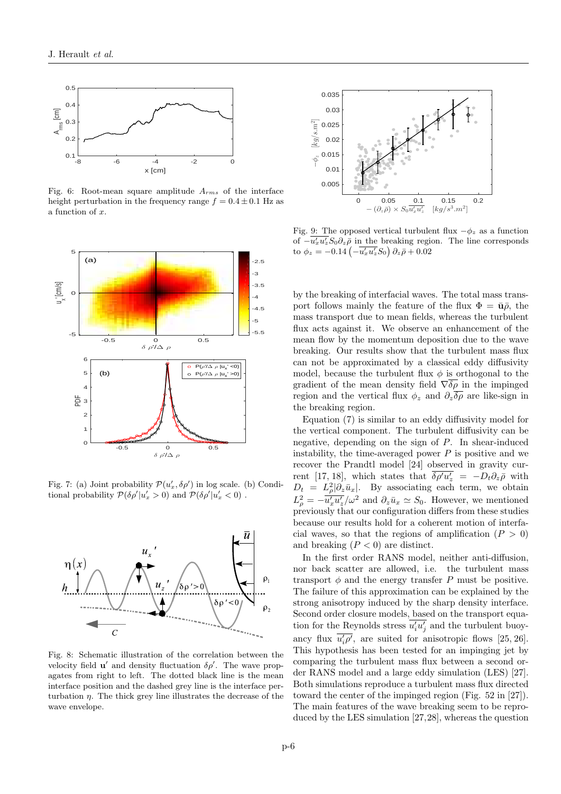

Fig. 6: Root-mean square amplitude  $A_{rms}$  of the interface height perturbation in the frequency range  $f = 0.4 \pm 0.1$  Hz as a function of x.



Fig. 7: (a) Joint probability  $\mathcal{P}(u'_x, \delta \rho')$  in log scale. (b) Conditional probability  $\mathcal{P}(\delta \rho' | u_x' > 0)$  and  $\mathcal{P}(\delta \rho' | u_x' < 0)$ .



Fig. 8: Schematic illustration of the correlation between the velocity field  $\mathbf{u}'$  and density fluctuation  $\delta \rho'$ . The wave propagates from right to left. The dotted black line is the mean interface position and the dashed grey line is the interface perturbation  $\eta$ . The thick grey line illustrates the decrease of the wave envelope.



Fig. 9: The opposed vertical turbulent flux  $-\phi_z$  as a function of  $-\overline{u'_x u'_z} S_0 \partial_z \overline{\rho}$  in the breaking region. The line corresponds to  $\phi_z = -0.14 \left( -\overline{u'_x u'_z} S_0 \right) \partial_z \bar{\rho} + 0.02$ 

by the breaking of interfacial waves. The total mass transport follows mainly the feature of the flux  $\Phi = \bar{\mathbf{u}}\bar{\rho}$ , the mass transport due to mean fields, whereas the turbulent flux acts against it. We observe an enhancement of the mean flow by the momentum deposition due to the wave breaking. Our results show that the turbulent mass flux can not be approximated by a classical eddy diffusivity model, because the turbulent flux  $\phi$  is orthogonal to the gradient of the mean density field  $\nabla \overline{\delta \rho}$  in the impinged region and the vertical flux  $\phi_z$  and  $\partial_z \overline{\delta \rho}$  are like-sign in the breaking region.

Equation (7) is similar to an eddy diffusivity model for the vertical component. The turbulent diffusivity can be negative, depending on the sign of P. In shear-induced instability, the time-averaged power  $P$  is positive and we recover the Prandtl model [24] observed in gravity current [17, 18], which states that  $\overline{\delta \rho' u'_z} = -D_t \partial_z \overline{\rho}$  with  $D_t = L^2_\rho |\partial_z \bar{u}_x|$ . By associating each term, we obtain  $L^2_{\rho} = -\overline{u'_x} \overline{u'_z}/\omega^2$  and  $\partial_z \overline{u}_x \simeq S_0$ . However, we mentioned previously that our configuration differs from these studies because our results hold for a coherent motion of interfacial waves, so that the regions of amplification  $(P > 0)$ and breaking  $(P < 0)$  are distinct.

In the first order RANS model, neither anti-diffusion, nor back scatter are allowed, i.e. the turbulent mass transport  $\phi$  and the energy transfer P must be positive. The failure of this approximation can be explained by the strong anisotropy induced by the sharp density interface. Second order closure models, based on the transport equation for the Reynolds stress  $\overline{u'_i u'_j}$  and the turbulent buoyancy flux  $\overline{u'_i \rho'}$ , are suited for anisotropic flows [25, 26]. This hypothesis has been tested for an impinging jet by comparing the turbulent mass flux between a second order RANS model and a large eddy simulation (LES) [27]. Both simulations reproduce a turbulent mass flux directed toward the center of the impinged region (Fig. 52 in [27]). The main features of the wave breaking seem to be reproduced by the LES simulation [27,28], whereas the question